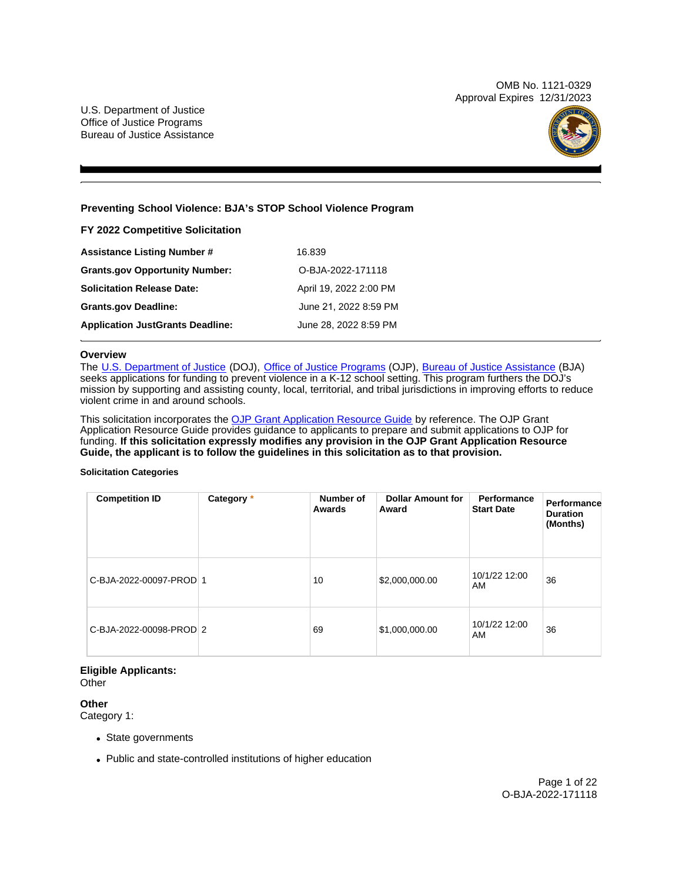OMB No. 1121-0329 Approval Expires 12/31/2023



## **Preventing School Violence: BJA's STOP School Violence Program**

**FY 2022 Competitive Solicitation**  Assistance Listing Number # 16.839 **Grants.gov Opportunity Number:** O-BJA-2022-171118 **Solicitation Release Date: Grants.gov Deadline: Application JustGrants Deadline:**  April 19, 2022 2:00 PM June 21, 2022 8:59 PM June 28, 2022 8:59 PM

## **Overview**

The [U.S. Department of Justice](https://www.usdoj.gov/) (DOJ), [Office of Justice Programs](https://www.ojp.usdoj.gov/) (OJP), [Bureau of Justice Assistance](https://bja.ojp.gov) (BJA) seeks applications for funding to prevent violence in a K-12 school setting. This program furthers the DOJ's mission by supporting and assisting county, local, territorial, and tribal jurisdictions in improving efforts to reduce violent crime in and around schools.

This solicitation incorporates the [OJP Grant Application Resource Guide](https://www.ojp.gov/funding/Apply/Resources/Grant-App-Resource-Guide.htm) by reference. The OJP Grant Application Resource Guide provides guidance to applicants to prepare and submit applications to OJP for funding. **If this solicitation expressly modifies any provision in the OJP Grant Application Resource Guide, the applicant is to follow the guidelines in this solicitation as to that provision.** 

#### **Solicitation Categories**

| <b>Competition ID</b>   | Category * | Number of<br>Awards | <b>Dollar Amount for</b><br>Award | Performance<br><b>Start Date</b> | Performance<br><b>Duration</b><br>(Months) |
|-------------------------|------------|---------------------|-----------------------------------|----------------------------------|--------------------------------------------|
| C-BJA-2022-00097-PROD 1 |            | 10                  | \$2,000,000.00                    | 10/1/22 12:00<br>AM              | 36                                         |
| C-BJA-2022-00098-PROD 2 |            | 69                  | \$1,000,000.00                    | 10/1/22 12:00<br>AM              | 36                                         |

## **Eligible Applicants:**

**Other** 

**Other** 

Category 1:

- State governments
- Public and state-controlled institutions of higher education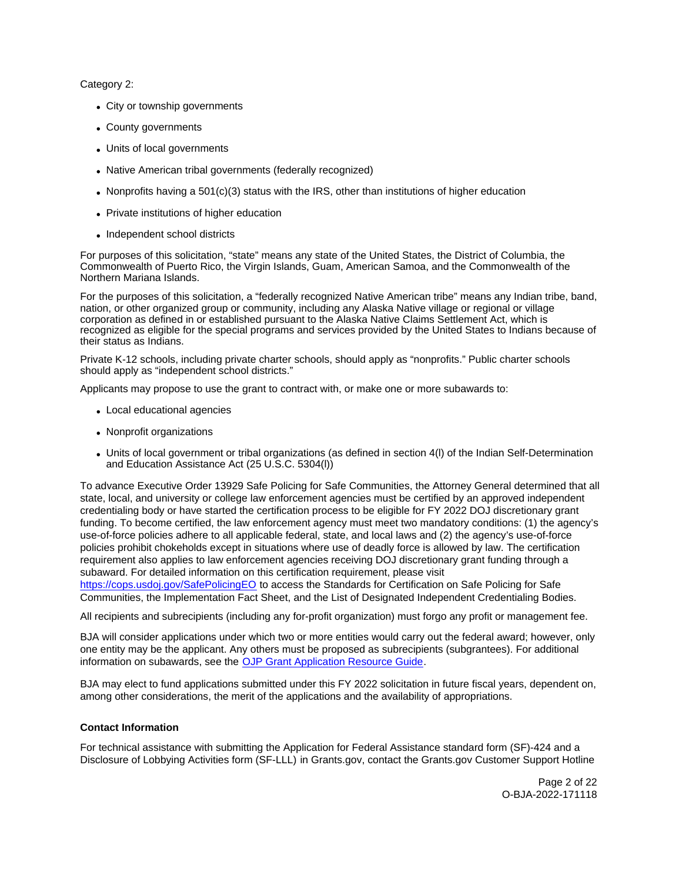<span id="page-1-0"></span>Category 2:

- City or township governments
- County governments
- Units of local governments
- Native American tribal governments (federally recognized)
- Nonprofits having a  $501(c)(3)$  status with the IRS, other than institutions of higher education
- Private institutions of higher education
- Independent school districts

For purposes of this solicitation, "state" means any state of the United States, the District of Columbia, the Commonwealth of Puerto Rico, the Virgin Islands, Guam, American Samoa, and the Commonwealth of the Northern Mariana Islands.

For the purposes of this solicitation, a "federally recognized Native American tribe" means any Indian tribe, band, nation, or other organized group or community, including any Alaska Native village or regional or village corporation as defined in or established pursuant to the Alaska Native Claims Settlement Act, which is recognized as eligible for the special programs and services provided by the United States to Indians because of their status as Indians.

Private K-12 schools, including private charter schools, should apply as "nonprofits." Public charter schools should apply as "independent school districts."

Applicants may propose to use the grant to contract with, or make one or more subawards to:

- Local educational agencies
- Nonprofit organizations
- Units of local government or tribal organizations (as defined in section 4(l) of the Indian Self-Determination and Education Assistance Act (25 U.S.C. 5304(l))

To advance Executive Order 13929 Safe Policing for Safe Communities, the Attorney General determined that all state, local, and university or college law enforcement agencies must be certified by an approved independent credentialing body or have started the certification process to be eligible for FY 2022 DOJ discretionary grant funding. To become certified, the law enforcement agency must meet two mandatory conditions: (1) the agency's use-of-force policies adhere to all applicable federal, state, and local laws and (2) the agency's use-of-force policies prohibit chokeholds except in situations where use of deadly force is allowed by law. The certification requirement also applies to law enforcement agencies receiving DOJ discretionary grant funding through a subaward. For detailed information on this certification requirement, please visit

[https://cops.usdoj.gov/SafePolicingEO](https://cops.usdoj.gov/SafePolicingEO%20) to access the Standards for Certification on Safe Policing for Safe Communities, the Implementation Fact Sheet, and the List of Designated Independent Credentialing Bodies.

All recipients and subrecipients (including any for-profit organization) must forgo any profit or management fee.

BJA will consider applications under which two or more entities would carry out the federal award; however, only one entity may be the applicant. Any others must be proposed as subrecipients (subgrantees). For additional information on subawards, see the [OJP Grant Application Resource Guide.](https://www.ojp.gov/funding/apply/ojp-grant-application-resource-guide#information-proposed-subwards)

BJA may elect to fund applications submitted under this FY 2022 solicitation in future fiscal years, dependent on, among other considerations, the merit of the applications and the availability of appropriations.

#### **Contact Information**

For technical assistance with submitting the Application for Federal Assistance standard form (SF)-424 and a Disclosure of Lobbying Activities form (SF-LLL) in [Grants.gov](https://Grants.gov), contact the [Grants.gov](https://Grants.gov) Customer Support Hotline

> Page 2 of 22 O-BJA-2022-171118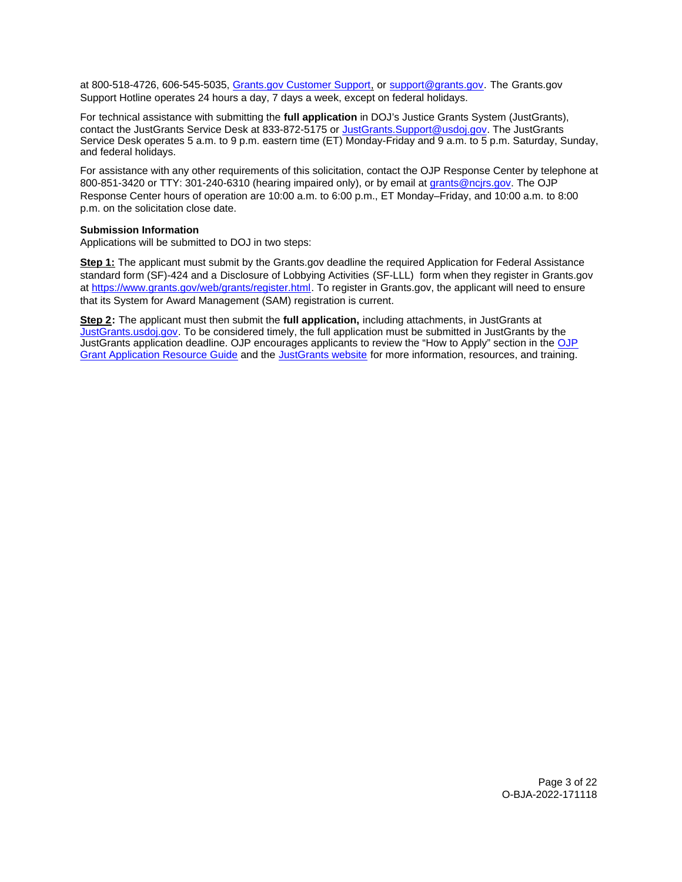at 800-518-4726, 606-545-5035, [Grants.gov Customer Support,](https://www.grants.gov/web/grants/support.html) or [support@grants.gov.](mailto:support@grants.gov) The [Grants.gov](https://Grants.gov) Support Hotline operates 24 hours a day, 7 days a week, except on federal holidays.

For technical assistance with submitting the **full application** in DOJ's Justice Grants System (JustGrants), contact the JustGrants Service Desk at 833-872-5175 or [JustGrants.Support@usdoj.gov.](mailto:JustGrants.Support@usdoj.gov) The JustGrants Service Desk operates 5 a.m. to 9 p.m. eastern time (ET) Monday-Friday and 9 a.m. to 5 p.m. Saturday, Sunday, and federal holidays.

For assistance with any other requirements of this solicitation, contact the OJP Response Center by telephone at 800-851-3420 or TTY: 301-240-6310 (hearing impaired only), or by email at [grants@ncjrs.gov.](mailto:grants@ncjrs.gov) The OJP Response Center hours of operation are 10:00 a.m. to 6:00 p.m., ET Monday–Friday, and 10:00 a.m. to 8:00 p.m. on the solicitation close date.

## **Submission Information**

Applications will be submitted to DOJ in two steps:

**Step 1:** The applicant must submit by the [Grants.gov](https://Grants.gov) deadline the required Application for Federal Assistance standard form (SF)-424 and a Disclosure of Lobbying Activities (SF-LLL) form when they register in [Grants.gov](https://Grants.gov)  at [https://www.grants.gov/web/grants/register.html.](https://www.grants.gov/web/grants/register.html) To register in [Grants.gov](https://Grants.gov), the applicant will need to ensure that its System for Award Management (SAM) registration is current.

**Step 2:** The applicant must then submit the **full application,** including attachments, in JustGrants at [JustGrants.usdoj.gov.](https://justicegrants.usdoj.gov/) To be considered timely, the full application must be submitted in JustGrants by the JustGrants application deadline. OJP encourages applicants to review the "How to Apply" section in the [OJP](https://www.ojp.gov/funding/apply/ojp-grant-application-resource-guide#apply)  [Grant Application Resource Guide](https://www.ojp.gov/funding/apply/ojp-grant-application-resource-guide#apply) and the [JustGrants website](https://justicegrants.usdoj.gov/news) for more information, resources, and training.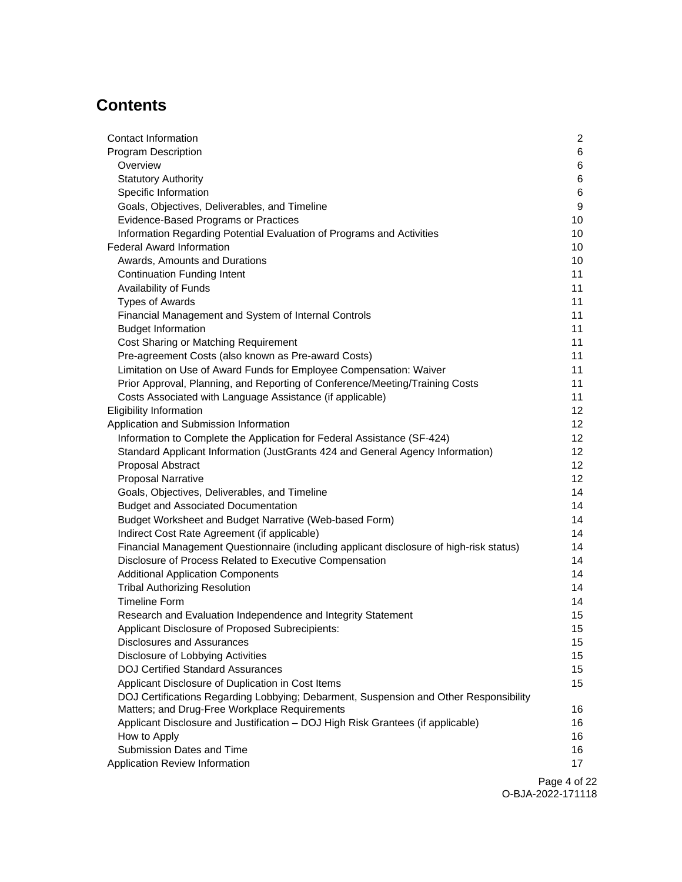## **Contents**

| Contact Information                                                                     | $\overline{2}$ |
|-----------------------------------------------------------------------------------------|----------------|
| <b>Program Description</b>                                                              | 6              |
| Overview                                                                                | 6              |
| <b>Statutory Authority</b>                                                              | 6              |
| Specific Information                                                                    | 6              |
| Goals, Objectives, Deliverables, and Timeline                                           | 9              |
| <b>Evidence-Based Programs or Practices</b>                                             | 10             |
| Information Regarding Potential Evaluation of Programs and Activities                   | 10             |
| <b>Federal Award Information</b>                                                        | 10             |
| Awards, Amounts and Durations                                                           | 10             |
| <b>Continuation Funding Intent</b>                                                      | 11             |
| Availability of Funds                                                                   | 11             |
| <b>Types of Awards</b>                                                                  | 11             |
| Financial Management and System of Internal Controls                                    | 11             |
| <b>Budget Information</b>                                                               | 11             |
| Cost Sharing or Matching Requirement                                                    | 11             |
| Pre-agreement Costs (also known as Pre-award Costs)                                     | 11             |
| Limitation on Use of Award Funds for Employee Compensation: Waiver                      | 11             |
| Prior Approval, Planning, and Reporting of Conference/Meeting/Training Costs            | 11             |
| Costs Associated with Language Assistance (if applicable)                               | 11             |
| <b>Eligibility Information</b>                                                          | 12             |
| Application and Submission Information                                                  | 12             |
| Information to Complete the Application for Federal Assistance (SF-424)                 | 12             |
| Standard Applicant Information (JustGrants 424 and General Agency Information)          | 12             |
| Proposal Abstract                                                                       | 12             |
| <b>Proposal Narrative</b>                                                               | 12             |
| Goals, Objectives, Deliverables, and Timeline                                           | 14             |
| <b>Budget and Associated Documentation</b>                                              | 14             |
| Budget Worksheet and Budget Narrative (Web-based Form)                                  | 14             |
| Indirect Cost Rate Agreement (if applicable)                                            | 14             |
| Financial Management Questionnaire (including applicant disclosure of high-risk status) | 14             |
| Disclosure of Process Related to Executive Compensation                                 | 14             |
| <b>Additional Application Components</b>                                                | 14             |
| <b>Tribal Authorizing Resolution</b>                                                    | 14             |
| <b>Timeline Form</b>                                                                    | 14             |
| Research and Evaluation Independence and Integrity Statement                            | 15             |
| Applicant Disclosure of Proposed Subrecipients:                                         | 15             |
| <b>Disclosures and Assurances</b>                                                       | 15             |
| Disclosure of Lobbying Activities                                                       | 15             |
| <b>DOJ Certified Standard Assurances</b>                                                | 15             |
| Applicant Disclosure of Duplication in Cost Items                                       | 15             |
| DOJ Certifications Regarding Lobbying; Debarment, Suspension and Other Responsibility   |                |
| Matters; and Drug-Free Workplace Requirements                                           | 16             |
| Applicant Disclosure and Justification - DOJ High Risk Grantees (if applicable)         | 16             |
| How to Apply                                                                            | 16             |
| Submission Dates and Time                                                               | 16<br>17       |
| Application Review Information                                                          |                |
|                                                                                         | Page 4 of 2    |

Page 4 of 22 O-BJA-2022-171118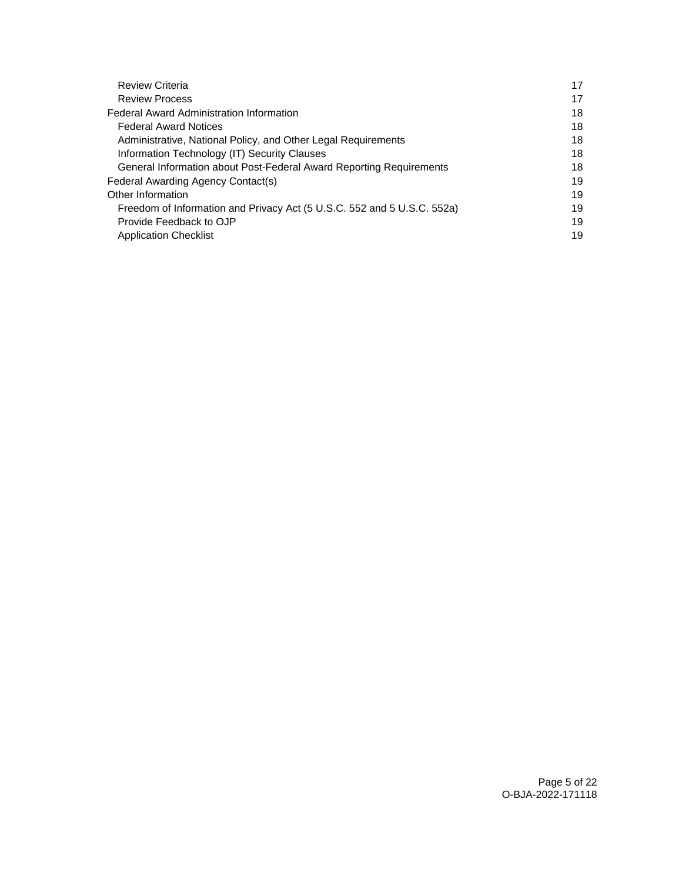| <b>Review Criteria</b>                                                  | 17 |
|-------------------------------------------------------------------------|----|
| <b>Review Process</b>                                                   | 17 |
| <b>Federal Award Administration Information</b>                         |    |
| <b>Federal Award Notices</b>                                            |    |
| Administrative, National Policy, and Other Legal Requirements           | 18 |
| Information Technology (IT) Security Clauses                            | 18 |
| General Information about Post-Federal Award Reporting Requirements     |    |
| Federal Awarding Agency Contact(s)                                      |    |
| Other Information                                                       |    |
| Freedom of Information and Privacy Act (5 U.S.C. 552 and 5 U.S.C. 552a) | 19 |
| Provide Feedback to OJP                                                 | 19 |
| <b>Application Checklist</b>                                            | 19 |
|                                                                         |    |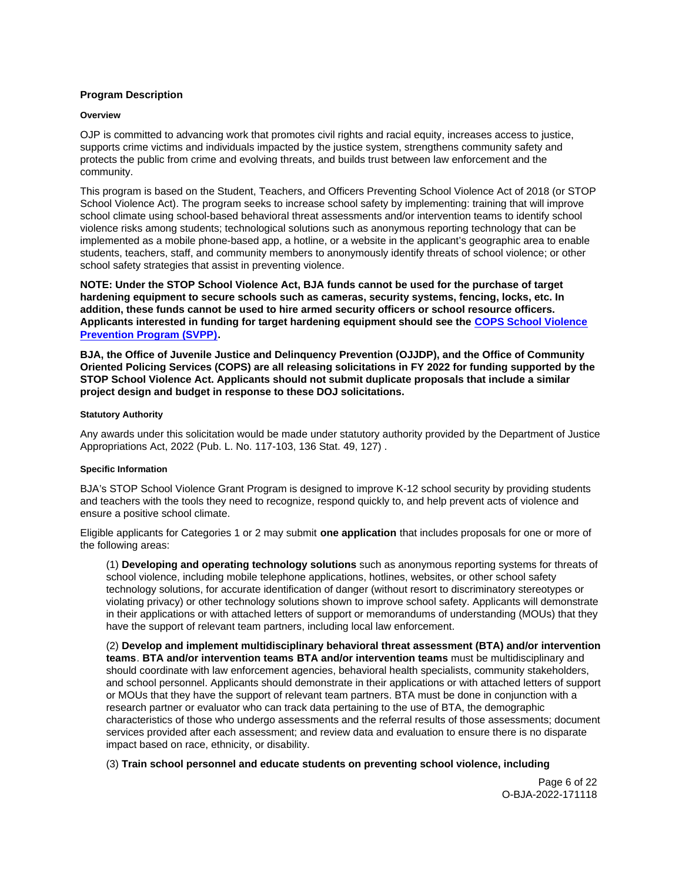## <span id="page-5-0"></span>**Program Description**

#### **Overview**

OJP is committed to advancing work that promotes civil rights and racial equity, increases access to justice, supports crime victims and individuals impacted by the justice system, strengthens community safety and protects the public from crime and evolving threats, and builds trust between law enforcement and the community.

This program is based on the Student, Teachers, and Officers Preventing School Violence Act of 2018 (or STOP School Violence Act). The program seeks to increase school safety by implementing: training that will improve school climate using school-based behavioral threat assessments and/or intervention teams to identify school violence risks among students; technological solutions such as anonymous reporting technology that can be implemented as a mobile phone-based app, a hotline, or a website in the applicant's geographic area to enable students, teachers, staff, and community members to anonymously identify threats of school violence; or other school safety strategies that assist in preventing violence.

**NOTE: Under the STOP School Violence Act, BJA funds cannot be used for the purchase of target hardening equipment to secure schools such as cameras, security systems, fencing, locks, etc. In addition, these funds cannot be used to hire armed security officers or school resource officers. Applicants interested in funding for target hardening equipment should see the [COPS School Violence](https://cops.usdoj.gov/svpp)  [Prevention Program \(SVPP\)](https://cops.usdoj.gov/svpp).** 

**BJA, the Office of Juvenile Justice and Delinquency Prevention (OJJDP), and the Office of Community Oriented Policing Services (COPS) are all releasing solicitations in FY 2022 for funding supported by the STOP School Violence Act. Applicants should not submit duplicate proposals that include a similar project design and budget in response to these DOJ solicitations.** 

## **Statutory Authority**

Any awards under this solicitation would be made under statutory authority provided by the Department of Justice Appropriations Act, 2022 (Pub. L. No. 117-103, 136 Stat. 49, 127) .

## **Specific Information**

BJA's STOP School Violence Grant Program is designed to improve K-12 school security by providing students and teachers with the tools they need to recognize, respond quickly to, and help prevent acts of violence and ensure a positive school climate.

Eligible applicants for Categories 1 or 2 may submit **one application** that includes proposals for one or more of the following areas:

(1) **Developing and operating technology solutions** such as anonymous reporting systems for threats of school violence, including mobile telephone applications, hotlines, websites, or other school safety technology solutions, for accurate identification of danger (without resort to discriminatory stereotypes or violating privacy) or other technology solutions shown to improve school safety. Applicants will demonstrate in their applications or with attached letters of support or memorandums of understanding (MOUs) that they have the support of relevant team partners, including local law enforcement.

(2) **Develop and implement multidisciplinary behavioral threat assessment (BTA) and/or intervention teams**. **BTA and/or intervention teams BTA and/or intervention teams** must be multidisciplinary and should coordinate with law enforcement agencies, behavioral health specialists, community stakeholders, and school personnel. Applicants should demonstrate in their applications or with attached letters of support or MOUs that they have the support of relevant team partners. BTA must be done in conjunction with a research partner or evaluator who can track data pertaining to the use of BTA, the demographic characteristics of those who undergo assessments and the referral results of those assessments; document services provided after each assessment; and review data and evaluation to ensure there is no disparate impact based on race, ethnicity, or disability.

(3) **Train school personnel and educate students on preventing school violence, including**

Page 6 of 22 O-BJA-2022-171118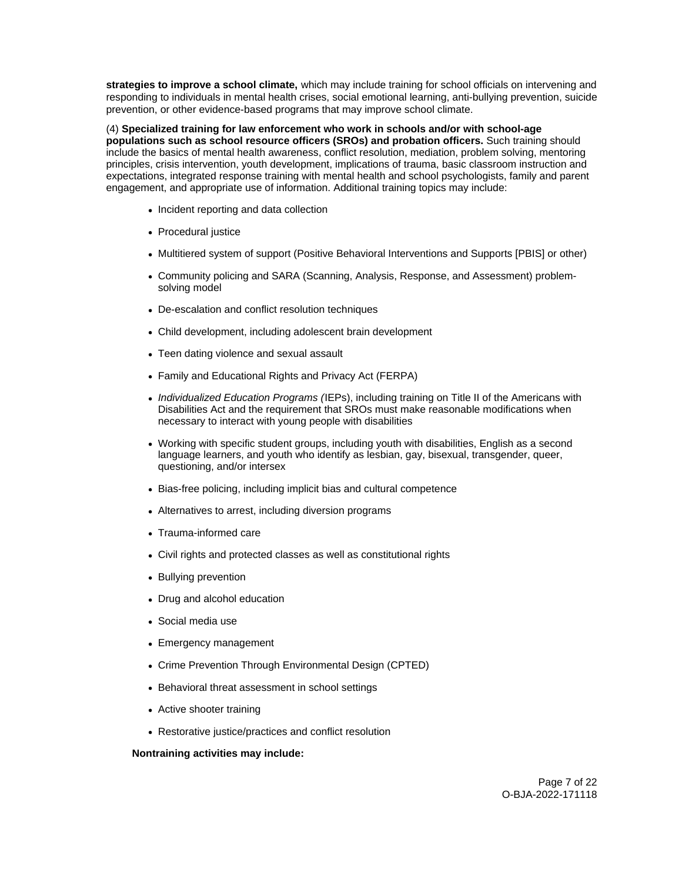**strategies to improve a school climate,** which may include training for school officials on intervening and responding to individuals in mental health crises, social emotional learning, anti-bullying prevention, suicide prevention, or other evidence-based programs that may improve school climate.

(4) **Specialized training for law enforcement who work in schools and/or with school-age populations such as school resource officers (SROs) and probation officers.** Such training should include the basics of mental health awareness, conflict resolution, mediation, problem solving, mentoring principles, crisis intervention, youth development, implications of trauma, basic classroom instruction and expectations, integrated response training with mental health and school psychologists, family and parent engagement, and appropriate use of information. Additional training topics may include:

- Incident reporting and data collection
- Procedural justice
- Multitiered system of support (Positive Behavioral Interventions and Supports [PBIS] or other)
- Community policing and SARA (Scanning, Analysis, Response, and Assessment) problemsolving model
- De-escalation and conflict resolution techniques
- Child development, including adolescent brain development
- Teen dating violence and sexual assault
- Family and Educational Rights and Privacy Act (FERPA)
- Individualized Education Programs (IEPs), including training on Title II of the Americans with Disabilities Act and the requirement that SROs must make reasonable modifications when necessary to interact with young people with disabilities
- Working with specific student groups, including youth with disabilities, English as a second language learners, and youth who identify as lesbian, gay, bisexual, transgender, queer, questioning, and/or intersex
- Bias-free policing, including implicit bias and cultural competence
- Alternatives to arrest, including diversion programs
- Trauma-informed care
- Civil rights and protected classes as well as constitutional rights
- Bullying prevention
- Drug and alcohol education
- Social media use
- Emergency management
- Crime Prevention Through Environmental Design (CPTED)
- Behavioral threat assessment in school settings
- Active shooter training
- Restorative justice/practices and conflict resolution

#### **Nontraining activities may include:**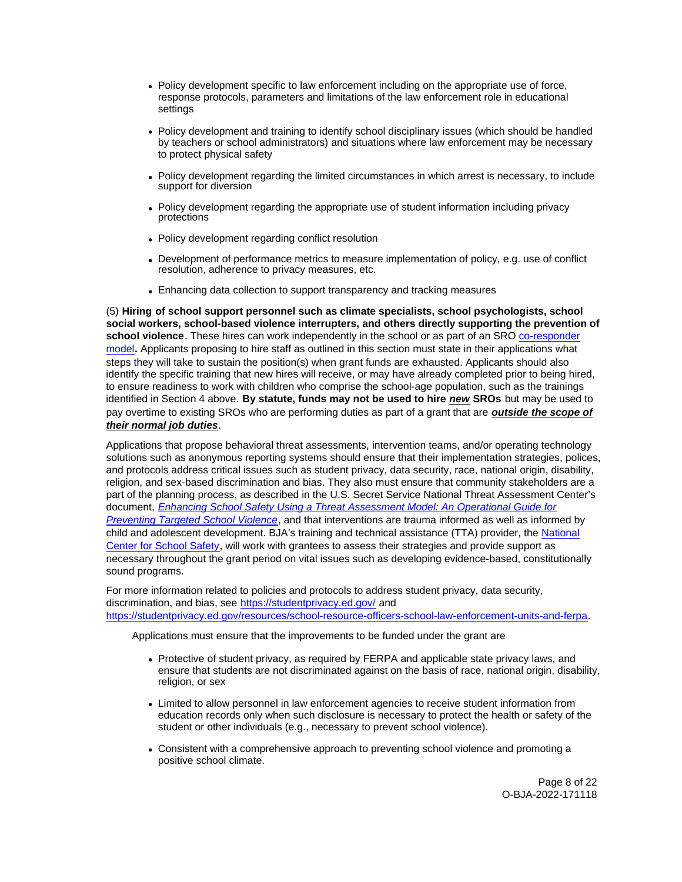- Policy development specific to law enforcement including on the appropriate use of force, response protocols, parameters and limitations of the law enforcement role in educational settings
- Policy development and training to identify school disciplinary issues (which should be handled by teachers or school administrators) and situations where law enforcement may be necessary to protect physical safety
- Policy development regarding the limited circumstances in which arrest is necessary, to include support for diversion
- Policy development regarding the appropriate use of student information including privacy protections
- Policy development regarding conflict resolution
- Development of performance metrics to measure implementation of policy, e.g. use of conflict resolution, adherence to privacy measures, etc.
- Enhancing data collection to support transparency and tracking measures

(5) **Hiring of school support personnel such as climate specialists, school psychologists, school social workers, school-based violence interrupters, and others directly supporting the prevention of** school violence. These hires can work independently in the school or as part of an SRO [co-responder](https://bja.ojp.gov/program/pmhc/learning) [model](https://bja.ojp.gov/program/pmhc/learning)**.** Applicants proposing to hire staff as outlined in this section must state in their applications what steps they will take to sustain the position(s) when grant funds are exhausted. Applicants should also identify the specific training that new hires will receive, or may have already completed prior to being hired, to ensure readiness to work with children who comprise the school-age population, such as the trainings identified in Section 4 above. **By statute, funds may not be used to hire new SROs** but may be used to pay overtime to existing SROs who are performing duties as part of a grant that are **outside the scope of their normal job duties**.

Applications that propose behavioral threat assessments, intervention teams, and/or operating technology solutions such as anonymous reporting systems should ensure that their implementation strategies, polices, and protocols address critical issues such as student privacy, data security, race, national origin, disability, religion, and sex-based discrimination and bias. They also must ensure that community stakeholders are a part of the planning process, as described in the U.S. Secret Service National Threat Assessment Center's document, [Enhancing School Safety Using a Threat Assessment Model: An Operational Guide for](https://www.secretservice.gov/sites/default/files/reports/2020-10/USSS_NTAC_Enhancing_School_Safety_Guide.pdf)  [Preventing Targeted School Violence](https://www.secretservice.gov/sites/default/files/reports/2020-10/USSS_NTAC_Enhancing_School_Safety_Guide.pdf), and that interventions are trauma informed as well as informed by child and adolescent development. BJA's training and technical assistance (TTA) provider, the [National](https://www.nc2s.org/)  [Center for School Safety,](https://www.nc2s.org/) will work with grantees to assess their strategies and provide support as necessary throughout the grant period on vital issues such as developing evidence-based, constitutionally sound programs.

For more information related to policies and protocols to address student privacy, data security, discrimination, and bias, see <https://studentprivacy.ed.gov/>and [https://studentprivacy.ed.gov/resources/school-resource-officers-school-law-enforcement-units-and-ferpa.](https://studentprivacy.ed.gov/resources/school-resource-officers-school-law-enforcement-units-and-ferpa)

Applications must ensure that the improvements to be funded under the grant are

- Protective of student privacy, as required by FERPA and applicable state privacy laws, and ensure that students are not discriminated against on the basis of race, national origin, disability, religion, or sex
- Limited to allow personnel in law enforcement agencies to receive student information from education records only when such disclosure is necessary to protect the health or safety of the student or other individuals (e.g., necessary to prevent school violence).
- Consistent with a comprehensive approach to preventing school violence and promoting a positive school climate.

Page 8 of 22 O-BJA-2022-171118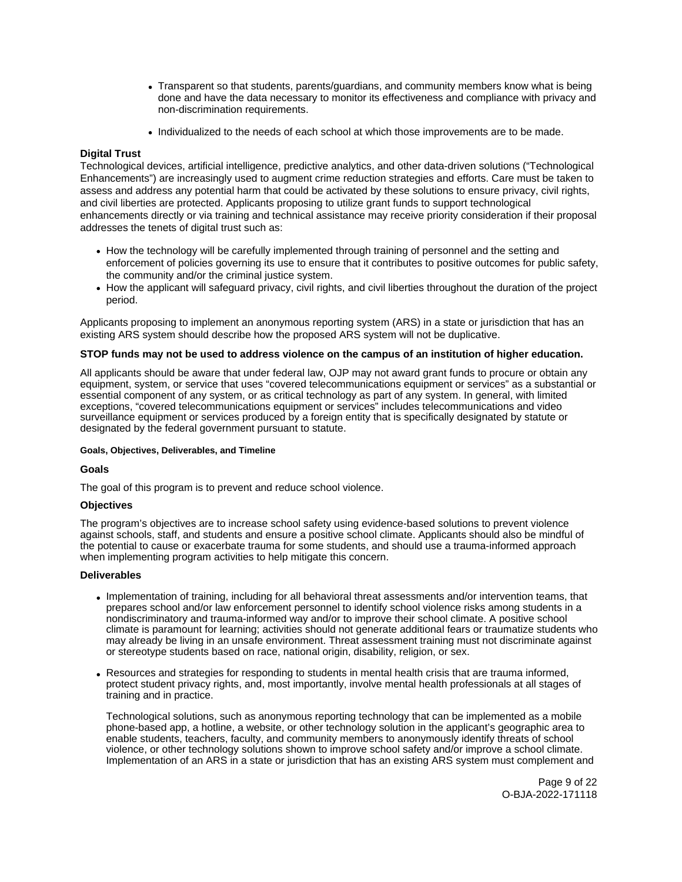- <span id="page-8-0"></span>Transparent so that students, parents/guardians, and community members know what is being done and have the data necessary to monitor its effectiveness and compliance with privacy and non-discrimination requirements.
- Individualized to the needs of each school at which those improvements are to be made.

## **Digital Trust**

Technological devices, artificial intelligence, predictive analytics, and other data-driven solutions ("Technological Enhancements") are increasingly used to augment crime reduction strategies and efforts. Care must be taken to assess and address any potential harm that could be activated by these solutions to ensure privacy, civil rights, and civil liberties are protected. Applicants proposing to utilize grant funds to support technological enhancements directly or via training and technical assistance may receive priority consideration if their proposal addresses the tenets of digital trust such as:

- How the technology will be carefully implemented through training of personnel and the setting and enforcement of policies governing its use to ensure that it contributes to positive outcomes for public safety, the community and/or the criminal justice system.
- How the applicant will safeguard privacy, civil rights, and civil liberties throughout the duration of the project period.

Applicants proposing to implement an anonymous reporting system (ARS) in a state or jurisdiction that has an existing ARS system should describe how the proposed ARS system will not be duplicative.

## **STOP funds may not be used to address violence on the campus of an institution of higher education.**

All applicants should be aware that under federal law, OJP may not award grant funds to procure or obtain any equipment, system, or service that uses "covered telecommunications equipment or services" as a substantial or essential component of any system, or as critical technology as part of any system. In general, with limited exceptions, "covered telecommunications equipment or services" includes telecommunications and video surveillance equipment or services produced by a foreign entity that is specifically designated by statute or designated by the federal government pursuant to statute.

#### **Goals, Objectives, Deliverables, and Timeline**

## **Goals**

The goal of this program is to prevent and reduce school violence.

## **Objectives**

The program's objectives are to increase school safety using evidence-based solutions to prevent violence against schools, staff, and students and ensure a positive school climate. Applicants should also be mindful of the potential to cause or exacerbate trauma for some students, and should use a trauma-informed approach when implementing program activities to help mitigate this concern.

#### **Deliverables**

- Implementation of training, including for all behavioral threat assessments and/or intervention teams, that prepares school and/or law enforcement personnel to identify school violence risks among students in a nondiscriminatory and trauma-informed way and/or to improve their school climate. A positive school climate is paramount for learning; activities should not generate additional fears or traumatize students who may already be living in an unsafe environment. Threat assessment training must not discriminate against or stereotype students based on race, national origin, disability, religion, or sex.
- Resources and strategies for responding to students in mental health crisis that are trauma informed, protect student privacy rights, and, most importantly, involve mental health professionals at all stages of training and in practice.

Technological solutions, such as anonymous reporting technology that can be implemented as a mobile phone-based app, a hotline, a website, or other technology solution in the applicant's geographic area to enable students, teachers, faculty, and community members to anonymously identify threats of school violence, or other technology solutions shown to improve school safety and/or improve a school climate. Implementation of an ARS in a state or jurisdiction that has an existing ARS system must complement and

> Page 9 of 22 O-BJA-2022-171118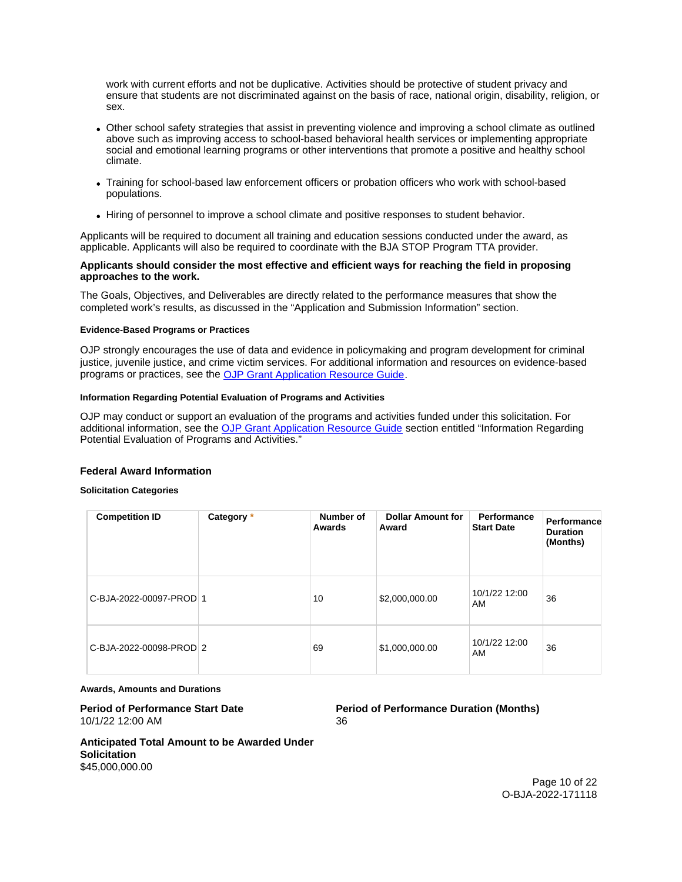<span id="page-9-0"></span>work with current efforts and not be duplicative. Activities should be protective of student privacy and ensure that students are not discriminated against on the basis of race, national origin, disability, religion, or sex.

- Other school safety strategies that assist in preventing violence and improving a school climate as outlined above such as improving access to school-based behavioral health services or implementing appropriate social and emotional learning programs or other interventions that promote a positive and healthy school climate.
- Training for school-based law enforcement officers or probation officers who work with school-based populations.
- Hiring of personnel to improve a school climate and positive responses to student behavior.

Applicants will be required to document all training and education sessions conducted under the award, as applicable. Applicants will also be required to coordinate with the BJA STOP Program TTA provider.

## **Applicants should consider the most effective and efficient ways for reaching the field in proposing approaches to the work.**

The Goals, Objectives, and Deliverables are directly related to the performance measures that show the completed work's results, as discussed in the "Application and Submission Information" section.

#### **Evidence-Based Programs or Practices**

OJP strongly encourages the use of data and evidence in policymaking and program development for criminal justice, juvenile justice, and crime victim services. For additional information and resources on evidence-based programs or practices, see the [OJP Grant Application Resource Guide.](https://www.ojp.gov/funding/apply/ojp-grant-application-resource-guide#evidence-based)

## **Information Regarding Potential Evaluation of Programs and Activities**

OJP may conduct or support an evaluation of the programs and activities funded under this solicitation. For additional information, see the [OJP Grant Application Resource Guide](https://www.ojp.gov/funding/apply/ojp-grant-application-resource-guide#potential-evaluation) section entitled "Information Regarding Potential Evaluation of Programs and Activities."

#### **Federal Award Information**

#### **Solicitation Categories**

| <b>Competition ID</b>   | Category * | Number of<br>Awards | <b>Dollar Amount for</b><br>Award | Performance<br><b>Start Date</b> | Performance<br><b>Duration</b><br>(Months) |
|-------------------------|------------|---------------------|-----------------------------------|----------------------------------|--------------------------------------------|
| C-BJA-2022-00097-PROD 1 |            | 10                  | \$2,000,000.00                    | 10/1/22 12:00<br>AM              | 36                                         |
| C-BJA-2022-00098-PROD 2 |            | 69                  | \$1,000,000.00                    | 10/1/22 12:00<br>AM              | 36                                         |

#### **Awards, Amounts and Durations**

# 10/1/22 12:00 AM 36

## **Period of Performance Start Date**  Period of Performance Duration (Months)

**Anticipated Total Amount to be Awarded Under Solicitation**  \$45,000,000.00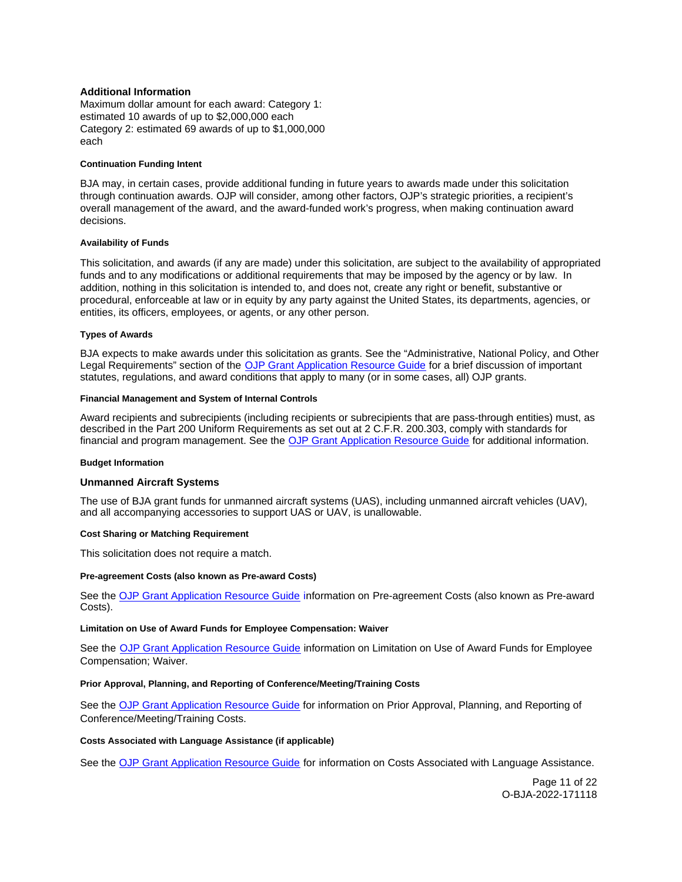## <span id="page-10-0"></span>**Additional Information**

Maximum dollar amount for each award: Category 1: estimated 10 awards of up to \$2,000,000 each Category 2: estimated 69 awards of up to \$1,000,000 each

#### **Continuation Funding Intent**

BJA may, in certain cases, provide additional funding in future years to awards made under this solicitation through continuation awards. OJP will consider, among other factors, OJP's strategic priorities, a recipient's overall management of the award, and the award-funded work's progress, when making continuation award decisions.

#### **Availability of Funds**

This solicitation, and awards (if any are made) under this solicitation, are subject to the availability of appropriated funds and to any modifications or additional requirements that may be imposed by the agency or by law. In addition, nothing in this solicitation is intended to, and does not, create any right or benefit, substantive or procedural, enforceable at law or in equity by any party against the United States, its departments, agencies, or entities, its officers, employees, or agents, or any other person.

#### **Types of Awards**

BJA expects to make awards under this solicitation as grants. See the "Administrative, National Policy, and Other Legal Requirements" section of the [OJP Grant Application Resource Guide](https://www.ojp.gov/funding/apply/ojp-grant-application-resource-guide#administrative) for a brief discussion of important statutes, regulations, and award conditions that apply to many (or in some cases, all) OJP grants.

#### **Financial Management and System of Internal Controls**

Award recipients and subrecipients (including recipients or subrecipients that are pass-through entities) must, as described in the Part 200 Uniform Requirements as set out at 2 C.F.R. 200.303, comply with standards for financial and program management. See the [OJP Grant Application Resource Guide](https://www.ojp.gov/funding/apply/ojp-grant-application-resource-guide#fm-internal-controls) for additional information.

#### **Budget Information**

#### **Unmanned Aircraft Systems**

The use of BJA grant funds for unmanned aircraft systems (UAS), including unmanned aircraft vehicles (UAV), and all accompanying accessories to support UAS or UAV, is unallowable.

#### **Cost Sharing or Matching Requirement**

This solicitation does not require a match.

#### **Pre-agreement Costs (also known as Pre-award Costs)**

See the [OJP Grant Application Resource Guide](https://www.ojp.gov/funding/apply/ojp-grant-application-resource-guide#pre-agreement-costs) information on Pre-agreement Costs (also known as Pre-award Costs).

#### **Limitation on Use of Award Funds for Employee Compensation: Waiver**

See the **OJP Grant Application Resource Guide** information on Limitation on Use of Award Funds for Employee Compensation; Waiver.

#### **Prior Approval, Planning, and Reporting of Conference/Meeting/Training Costs**

See the [OJP Grant Application Resource Guide](https://www.ojp.gov/funding/apply/ojp-grant-application-resource-guide#prior-approval) for information on Prior Approval, Planning, and Reporting of Conference/Meeting/Training Costs.

#### **Costs Associated with Language Assistance (if applicable)**

See the [OJP Grant Application Resource Guide](https://www.ojp.gov/funding/apply/ojp-grant-application-resource-guide#costs-associated) for information on Costs Associated with Language Assistance.

Page 11 of 22 O-BJA-2022-171118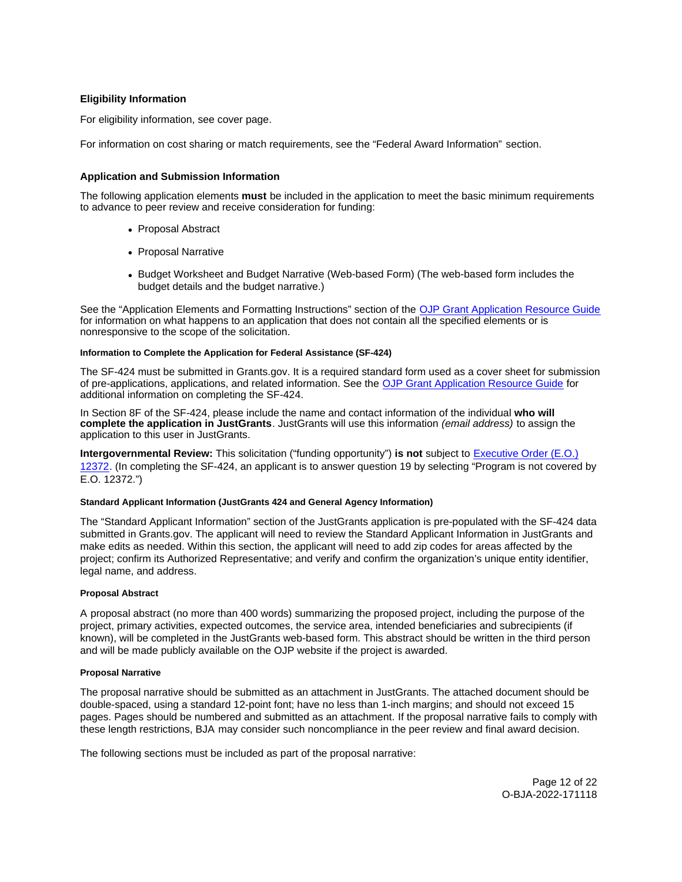## <span id="page-11-0"></span>**Eligibility Information**

For eligibility information, see cover page.

For information on cost sharing or match requirements, see the "Federal Award Information" section.

## **Application and Submission Information**

The following application elements **must** be included in the application to meet the basic minimum requirements to advance to peer review and receive consideration for funding:

- Proposal Abstract
- Proposal Narrative
- Budget Worksheet and Budget Narrative (Web-based Form) (The web-based form includes the budget details and the budget narrative.)

See the "Application Elements and Formatting Instructions" section of the [OJP Grant Application Resource Guide](https://www.ojp.gov/funding/apply/ojp-grant-application-resource-guide#application-elements)  for information on what happens to an application that does not contain all the specified elements or is nonresponsive to the scope of the solicitation.

#### **Information to Complete the Application for Federal Assistance (SF-424)**

The SF-424 must be submitted in [Grants.gov](https://Grants.gov). It is a required standard form used as a cover sheet for submission of pre-applications, applications, and related information. See the [OJP Grant Application Resource Guide](https://www.ojp.gov/funding/apply/ojp-grant-application-resource-guide#complete-application) for additional information on completing the SF-424.

In Section 8F of the SF-424, please include the name and contact information of the individual **who will complete the application in JustGrants**. JustGrants will use this information (email address) to assign the application to this user in JustGrants.

**Intergovernmental Review:** This solicitation ("funding opportunity") **is not** subject to [Executive Order \(E.O.\)](https://www.archives.gov/federal-register/codification/executive-order/12372.html)  [12372.](https://www.archives.gov/federal-register/codification/executive-order/12372.html) (In completing the SF-424, an applicant is to answer question 19 by selecting "Program is not covered by E.O. 12372.")

#### **Standard Applicant Information (JustGrants 424 and General Agency Information)**

The "Standard Applicant Information" section of the JustGrants application is pre-populated with the SF-424 data submitted in [Grants.gov.](https://Grants.gov) The applicant will need to review the Standard Applicant Information in JustGrants and make edits as needed. Within this section, the applicant will need to add zip codes for areas affected by the project; confirm its Authorized Representative; and verify and confirm the organization's unique entity identifier, legal name, and address.

#### **Proposal Abstract**

A proposal abstract (no more than 400 words) summarizing the proposed project, including the purpose of the project, primary activities, expected outcomes, the service area, intended beneficiaries and subrecipients (if known), will be completed in the JustGrants web-based form. This abstract should be written in the third person and will be made publicly available on the OJP website if the project is awarded.

#### **Proposal Narrative**

The proposal narrative should be submitted as an attachment in JustGrants. The attached document should be double-spaced, using a standard 12-point font; have no less than 1-inch margins; and should not exceed 15 pages. Pages should be numbered and submitted as an attachment. If the proposal narrative fails to comply with these length restrictions, BJA may consider such noncompliance in the peer review and final award decision.

The following sections must be included as part of the proposal narrative:

Page 12 of 22 O-BJA-2022-171118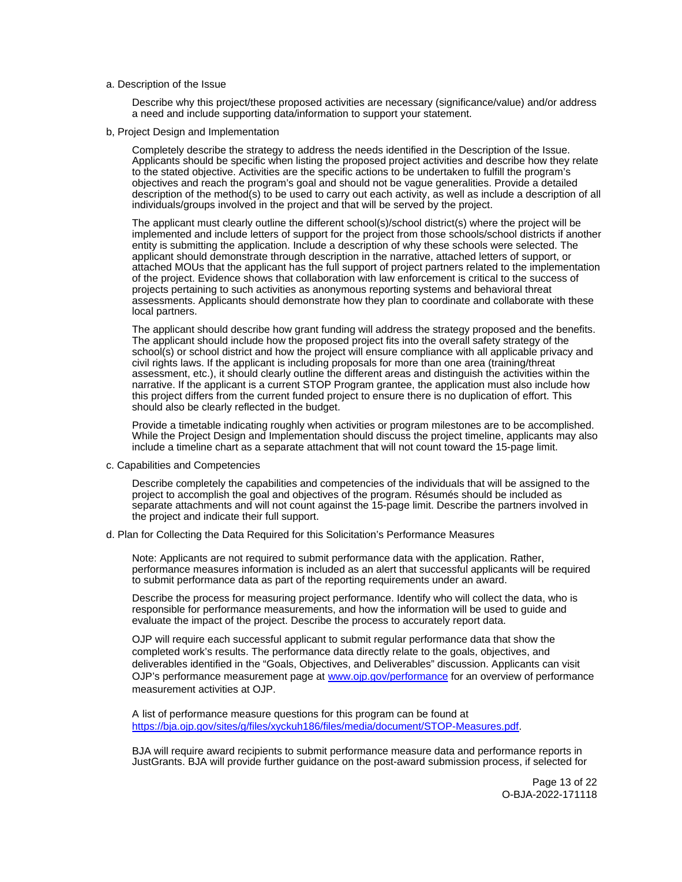a. Description of the Issue

Describe why this project/these proposed activities are necessary (significance/value) and/or address a need and include supporting data/information to support your statement.

b, Project Design and Implementation

Completely describe the strategy to address the needs identified in the Description of the Issue. Applicants should be specific when listing the proposed project activities and describe how they relate to the stated objective. Activities are the specific actions to be undertaken to fulfill the program's objectives and reach the program's goal and should not be vague generalities. Provide a detailed description of the method(s) to be used to carry out each activity, as well as include a description of all individuals/groups involved in the project and that will be served by the project.

The applicant must clearly outline the different school(s)/school district(s) where the project will be implemented and include letters of support for the project from those schools/school districts if another entity is submitting the application. Include a description of why these schools were selected. The applicant should demonstrate through description in the narrative, attached letters of support, or attached MOUs that the applicant has the full support of project partners related to the implementation of the project. Evidence shows that collaboration with law enforcement is critical to the success of projects pertaining to such activities as anonymous reporting systems and behavioral threat assessments. Applicants should demonstrate how they plan to coordinate and collaborate with these local partners.

The applicant should describe how grant funding will address the strategy proposed and the benefits. The applicant should include how the proposed project fits into the overall safety strategy of the school(s) or school district and how the project will ensure compliance with all applicable privacy and civil rights laws. If the applicant is including proposals for more than one area (training/threat assessment, etc.), it should clearly outline the different areas and distinguish the activities within the narrative. If the applicant is a current STOP Program grantee, the application must also include how this project differs from the current funded project to ensure there is no duplication of effort. This should also be clearly reflected in the budget.

Provide a timetable indicating roughly when activities or program milestones are to be accomplished. While the Project Design and Implementation should discuss the project timeline, applicants may also include a timeline chart as a separate attachment that will not count toward the 15-page limit.

c. Capabilities and Competencies

Describe completely the capabilities and competencies of the individuals that will be assigned to the project to accomplish the goal and objectives of the program. Résumés should be included as separate attachments and will not count against the 15-page limit. Describe the partners involved in the project and indicate their full support.

d. Plan for Collecting the Data Required for this Solicitation's Performance Measures

Note: Applicants are not required to submit performance data with the application. Rather, performance measures information is included as an alert that successful applicants will be required to submit performance data as part of the reporting requirements under an award.

Describe the process for measuring project performance. Identify who will collect the data, who is responsible for performance measurements, and how the information will be used to guide and evaluate the impact of the project. Describe the process to accurately report data.

OJP will require each successful applicant to submit regular performance data that show the completed work's results. The performance data directly relate to the goals, objectives, and deliverables identified in the "Goals, Objectives, and Deliverables" discussion. Applicants can visit OJP's performance measurement page at [www.ojp.gov/performance](https://www.ojp.gov/performance) for an overview of performance measurement activities at OJP.

A list of performance measure questions for this program can be found at [https://bja.ojp.gov/sites/g/files/xyckuh186/files/media/document/STOP-Measures.pdf.](https://bja.ojp.gov/sites/g/files/xyckuh186/files/media/document/STOP-Measures.pdf)

BJA will require award recipients to submit performance measure data and performance reports in JustGrants. BJA will provide further guidance on the post-award submission process, if selected for

> Page 13 of 22 O-BJA-2022-171118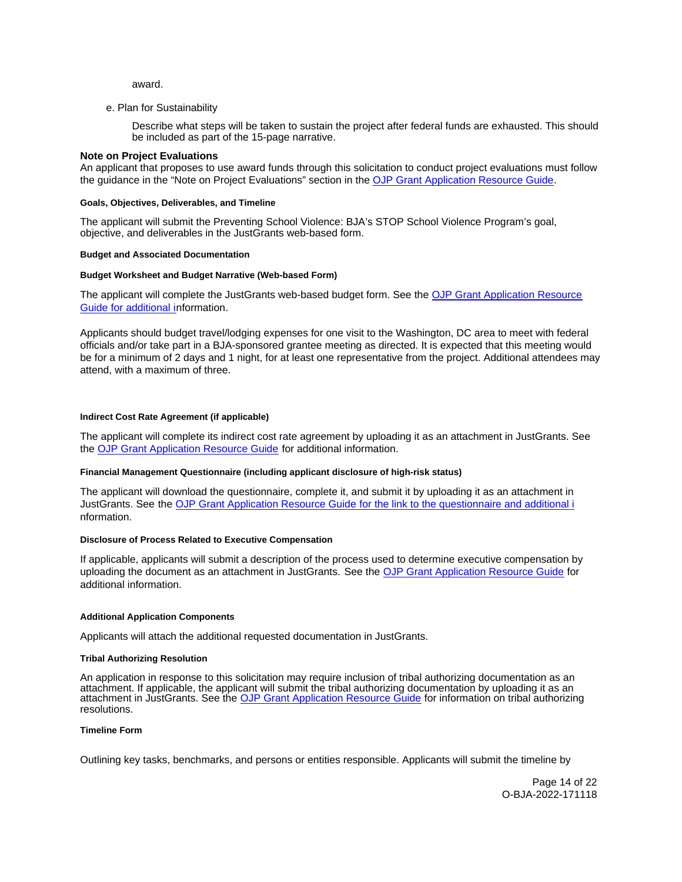award.

<span id="page-13-0"></span>e. Plan for Sustainability

Describe what steps will be taken to sustain the project after federal funds are exhausted. This should be included as part of the 15-page narrative.

#### **Note on Project Evaluations**

An applicant that proposes to use award funds through this solicitation to conduct project evaluations must follow the guidance in the "Note on Project Evaluations" section in the [OJP Grant Application Resource Guide.](https://www.ojp.gov/funding/apply/ojp-grant-application-resource-guide#project-evaluations)

#### **Goals, Objectives, Deliverables, and Timeline**

The applicant will submit the Preventing School Violence: BJA's STOP School Violence Program's goal, objective, and deliverables in the JustGrants web-based form.

#### **Budget and Associated Documentation**

#### **Budget Worksheet and Budget Narrative (Web-based Form)**

The applicant will complete the JustGrants web-based budget form. See the OJP Grant Application Resource [Guide](https://ojp.gov/funding/Apply/Resources/Grant-App-Resource-Guide.htm) for additional information.

Applicants should budget travel/lodging expenses for one visit to the Washington, DC area to meet with federal officials and/or take part in a BJA-sponsored grantee meeting as directed. It is expected that this meeting would be for a minimum of 2 days and 1 night, for at least one representative from the project. Additional attendees may attend, with a maximum of three.

#### **Indirect Cost Rate Agreement (if applicable)**

The applicant will complete its indirect cost rate agreement by uploading it as an attachment in JustGrants. See the [OJP Grant Application Resource Guide](https://www.ojp.gov/funding/apply/ojp-grant-application-resource-guide) for additional information.

#### **Financial Management Questionnaire (including applicant disclosure of high-risk status)**

The applicant will download the questionnaire, complete it, and submit it by uploading it as an attachment in JustGrants. See the [OJP Grant Application Resource Guide](https://www.ojp.gov/funding/apply/ojp-grant-application-resource-guide#fm-internal-controls-questionnaire) for the link to the questionnaire and additional i nformation.

## **Disclosure of Process Related to Executive Compensation**

If applicable, applicants will submit a description of the process used to determine executive compensation by uploading the document as an attachment in JustGrants. See the [OJP Grant Application Resource Guide](https://www.ojp.gov/funding/Apply/Resources/Grant-App-Resource-Guide.htm) for additional information.

#### **Additional Application Components**

Applicants will attach the additional requested documentation in JustGrants.

#### **Tribal Authorizing Resolution**

An application in response to this solicitation may require inclusion of tribal authorizing documentation as an attachment. If applicable, the applicant will submit the tribal authorizing documentation by uploading it as an attachment in JustGrants. See the [OJP Grant Application Resource Guide](https://www.ojp.gov/funding/apply/ojp-grant-application-resource-guide#tribal-authorizing-resolution) for information on tribal authorizing resolutions.

#### **Timeline Form**

Outlining key tasks, benchmarks, and persons or entities responsible. Applicants will submit the timeline by

Page 14 of 22 O-BJA-2022-171118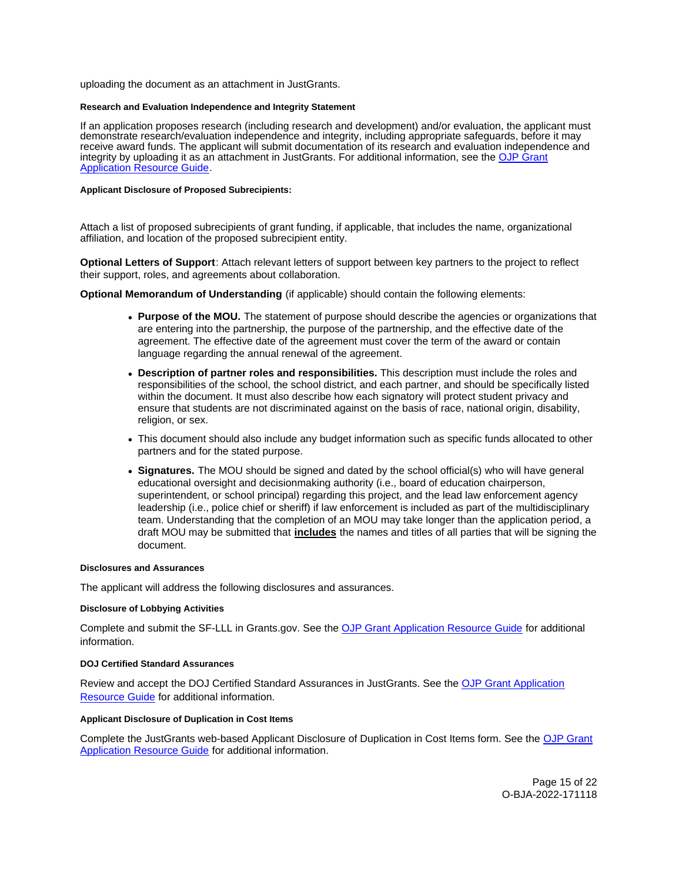<span id="page-14-0"></span>uploading the document as an attachment in JustGrants.

#### **Research and Evaluation Independence and Integrity Statement**

If an application proposes research (including research and development) and/or evaluation, the applicant must demonstrate research/evaluation independence and integrity, including appropriate safeguards, before it may receive award funds. The applicant will submit documentation of its research and evaluation independence and integrity by uploading it as an attachment in JustGrants. For additional information, see the [OJP Grant](https://www.ojp.gov/funding/apply/ojp-grant-application-resource-guide#research-evaluation)  [Application Resource Guide.](https://www.ojp.gov/funding/apply/ojp-grant-application-resource-guide#research-evaluation)

#### **Applicant Disclosure of Proposed Subrecipients:**

Attach a list of proposed subrecipients of grant funding, if applicable, that includes the name, organizational affiliation, and location of the proposed subrecipient entity.

**Optional Letters of Support**: Attach relevant letters of support between key partners to the project to reflect their support, roles, and agreements about collaboration.

**Optional Memorandum of Understanding** (if applicable) should contain the following elements:

- **Purpose of the MOU.** The statement of purpose should describe the agencies or organizations that are entering into the partnership, the purpose of the partnership, and the effective date of the agreement. The effective date of the agreement must cover the term of the award or contain language regarding the annual renewal of the agreement.
- **Description of partner roles and responsibilities.** This description must include the roles and responsibilities of the school, the school district, and each partner, and should be specifically listed within the document. It must also describe how each signatory will protect student privacy and ensure that students are not discriminated against on the basis of race, national origin, disability, religion, or sex.
- This document should also include any budget information such as specific funds allocated to other partners and for the stated purpose.
- **Signatures.** The MOU should be signed and dated by the school official(s) who will have general educational oversight and decisionmaking authority (i.e., board of education chairperson, superintendent, or school principal) regarding this project, and the lead law enforcement agency leadership (i.e., police chief or sheriff) if law enforcement is included as part of the multidisciplinary team. Understanding that the completion of an MOU may take longer than the application period, a draft MOU may be submitted that **includes** the names and titles of all parties that will be signing the document.

#### **Disclosures and Assurances**

The applicant will address the following disclosures and assurances.

#### **Disclosure of Lobbying Activities**

Complete and submit the SF-LLL in [Grants.gov.](https://Grants.gov) See the [OJP Grant Application Resource Guide](https://www.ojp.gov/funding/apply/ojp-grant-application-resource-guide#disclosure-lobby) for additional information.

#### **DOJ Certified Standard Assurances**

Review and accept the DOJ Certified Standard Assurances in JustGrants. See the [OJP Grant Application](https://www.ojp.gov/funding/apply/ojp-grant-application-resource-guide#administrative)  [Resource Guide](https://www.ojp.gov/funding/apply/ojp-grant-application-resource-guide#administrative) for additional information.

#### **Applicant Disclosure of Duplication in Cost Items**

Complete the JustGrants web-based Applicant Disclosure of Duplication in Cost Items form. See the [OJP Grant](https://www.ojp.gov/funding/apply/ojp-grant-application-resource-guide#applicant-disclosure-pending-applications)  [Application Resource Guide](https://www.ojp.gov/funding/apply/ojp-grant-application-resource-guide#applicant-disclosure-pending-applications) for additional information.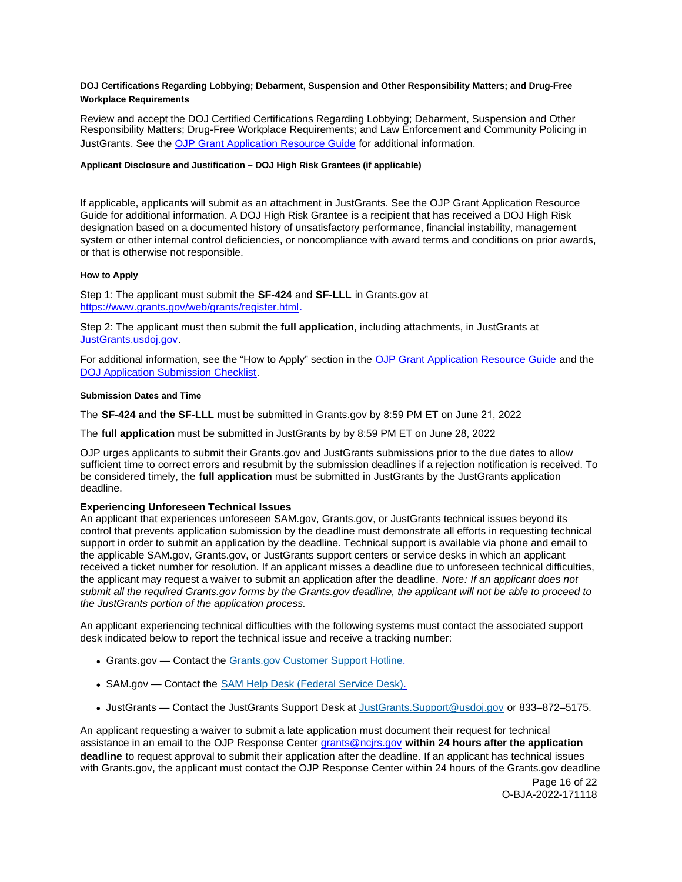## <span id="page-15-0"></span>**DOJ Certifications Regarding Lobbying; Debarment, Suspension and Other Responsibility Matters; and Drug-Free Workplace Requirements**

Review and accept the DOJ Certified Certifications Regarding Lobbying; Debarment, Suspension and Other Responsibility Matters; Drug-Free Workplace Requirements; and Law Enforcement and Community Policing in JustGrants. See the [OJP Grant Application Resource Guide](https://www.ojp.gov/funding/apply/ojp-grant-application-resource-guide#administrative) [for additional information.](https://www.ojp.gov/funding/apply/ojp-grant-application-resource-guide#administrative)

## **Applicant Disclosure and Justification – DOJ High Risk Grantees (if applicable)**

If applicable, applicants will submit as an attachment in JustGrants. See the OJP Grant Application Resource Guide for additional information. A DOJ High Risk Grantee is a recipient that has received a DOJ High Risk designation based on a documented history of unsatisfactory performance, financial instability, management system or other internal control deficiencies, or noncompliance with award terms and conditions on prior awards, or that is otherwise not responsible.

## **How to Apply**

Step 1: The applicant must submit the **SF-424** and **SF-LLL** in [Grants.gov](https://Grants.gov) at [https://www.grants.gov/web/grants/register.html.](https://www.grants.gov/web/grants/register.html) 

Step 2: The applicant must then submit the **full application**, including attachments, in JustGrants at [JustGrants.usdoj.gov.](https://justicegrants.usdoj.gov/) 

For additional information, see the "How to Apply" section in the [OJP Grant Application Resource Guide](https://www.ojp.gov/funding/apply/ojp-grant-application-resource-guide#apply) and the [DOJ Application Submission Checklist.](https://justicegrants.usdoj.gov/sites/g/files/xyckuh296/files/media/document/appln-submission-checklist.pdf)

## **Submission Dates and Time**

The **SF-424 and the SF-LLL** must be submitted in [Grants.gov](https://Grants.gov) by 8:59 PM ET on June 21, 2022

The **full application** must be submitted in JustGrants by by 8:59 PM ET on June 28, 2022

OJP urges applicants to submit their [Grants.gov](https://Grants.gov) and JustGrants submissions prior to the due dates to allow sufficient time to correct errors and resubmit by the submission deadlines if a rejection notification is received. To be considered timely, the **full application** must be submitted in JustGrants by the JustGrants application deadline.

## **Experiencing Unforeseen Technical Issues**

An applicant that experiences unforeseen SAM.gov, [Grants.gov,](https://Grants.gov) or JustGrants technical issues beyond its control that prevents application submission by the deadline must demonstrate all efforts in requesting technical support in order to submit an application by the deadline. Technical support is available via phone and email to the applicable SAM.gov, [Grants.gov,](https://Grants.gov) or JustGrants support centers or service desks in which an applicant received a ticket number for resolution. If an applicant misses a deadline due to unforeseen technical difficulties, the applicant may request a waiver to submit an application after the deadline. Note: If an applicant does not submit all the required [Grants.gov](https://Grants.gov) forms by the [Grants.gov](https://Grants.gov) deadline, the applicant will not be able to proceed to the JustGrants portion of the application process.

An applicant experiencing technical difficulties with the following systems must contact the associated support desk indicated below to report the technical issue and receive a tracking number:

- [Grants.gov](https://Grants.gov)  Contact the [Grants.gov Customer Support Hotline.](https://www.grants.gov/web/grants/support.html)
- SAM.gov Contact the [SAM Help Desk \(Federal Service Desk\).](https://www.fsd.gov/gsafsd_sp)
- JustGrants Contact the JustGrants Support Desk at [JustGrants.Support@usdoj.gov](mailto:JustGrants.Support@usdoj.gov) or 833–872–5175.

An applicant requesting a waiver to submit a late application must document their request for technical assistance in an email to the OJP Response Center [grants@ncjrs.gov](mailto:grants@ncjrs.gov) **within 24 hours after the application deadline** to request approval to submit their application after the deadline. If an applicant has technical issues with [Grants.gov,](https://Grants.gov) the applicant must contact the OJP Response Center within 24 hours of the [Grants.gov](https://Grants.gov) deadline

Page 16 of 22 O-BJA-2022-171118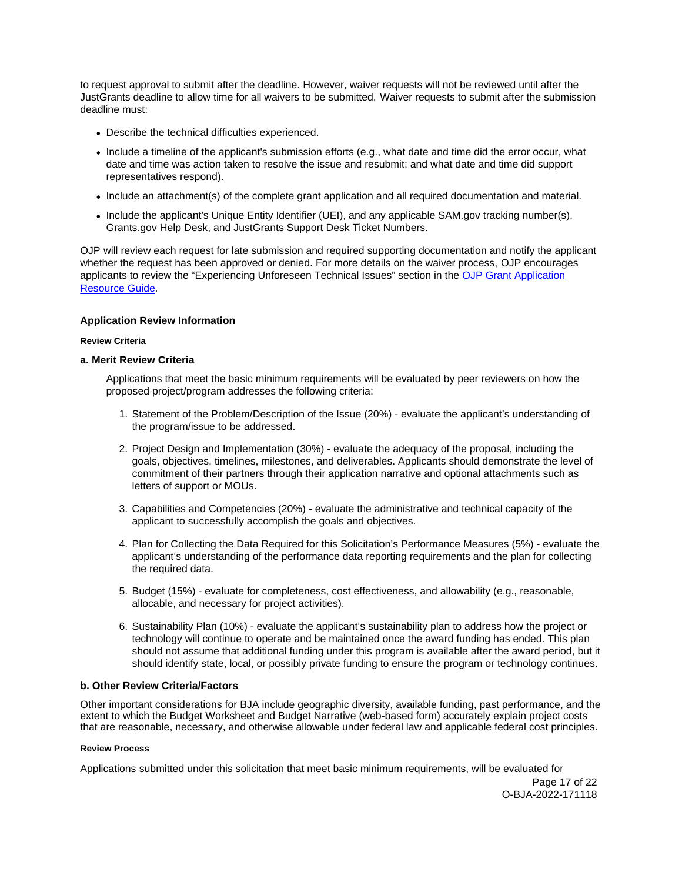<span id="page-16-0"></span>to request approval to submit after the deadline. However, waiver requests will not be reviewed until after the JustGrants deadline to allow time for all waivers to be submitted. Waiver requests to submit after the submission deadline must:

- Describe the technical difficulties experienced.
- Include a timeline of the applicant's submission efforts (e.g., what date and time did the error occur, what date and time was action taken to resolve the issue and resubmit; and what date and time did support representatives respond).
- Include an attachment(s) of the complete grant application and all required documentation and material.
- Include the applicant's Unique Entity Identifier (UEI), and any applicable SAM.gov tracking number(s), [Grants.gov](https://Grants.gov) Help Desk, and JustGrants Support Desk Ticket Numbers.

OJP will review each request for late submission and required supporting documentation and notify the applicant whether the request has been approved or denied. For more details on the waiver process, OJP encourages applicants to review the "Experiencing Unforeseen Technical Issues" section in the [OJP Grant Application](https://www.ojp.gov/funding/apply/ojp-grant-application-resource-guide#experiencing-unforeseen-technical-issues)  [Resource Guide](https://www.ojp.gov/funding/apply/ojp-grant-application-resource-guide#experiencing-unforeseen-technical-issues).

## **Application Review Information**

#### **Review Criteria**

## **a. Merit Review Criteria**

Applications that meet the basic minimum requirements will be evaluated by peer reviewers on how the proposed project/program addresses the following criteria:

- 1. Statement of the Problem/Description of the Issue (20%) evaluate the applicant's understanding of the program/issue to be addressed.
- 2. Project Design and Implementation (30%) evaluate the adequacy of the proposal, including the goals, objectives, timelines, milestones, and deliverables. Applicants should demonstrate the level of commitment of their partners through their application narrative and optional attachments such as letters of support or MOUs.
- 3. Capabilities and Competencies (20%) evaluate the administrative and technical capacity of the applicant to successfully accomplish the goals and objectives.
- 4. Plan for Collecting the Data Required for this Solicitation's Performance Measures (5%) evaluate the applicant's understanding of the performance data reporting requirements and the plan for collecting the required data.
- 5. Budget (15%) evaluate for completeness, cost effectiveness, and allowability (e.g., reasonable, allocable, and necessary for project activities).
- 6. Sustainability Plan (10%) evaluate the applicant's sustainability plan to address how the project or technology will continue to operate and be maintained once the award funding has ended. This plan should not assume that additional funding under this program is available after the award period, but it should identify state, local, or possibly private funding to ensure the program or technology continues.

## **b. Other Review Criteria/Factors**

Other important considerations for BJA include geographic diversity, available funding, past performance, and the extent to which the Budget Worksheet and Budget Narrative (web-based form) accurately explain project costs that are reasonable, necessary, and otherwise allowable under federal law and applicable federal cost principles.

#### **Review Process**

Applications submitted under this solicitation that meet basic minimum requirements, will be evaluated for

Page 17 of 22 O-BJA-2022-171118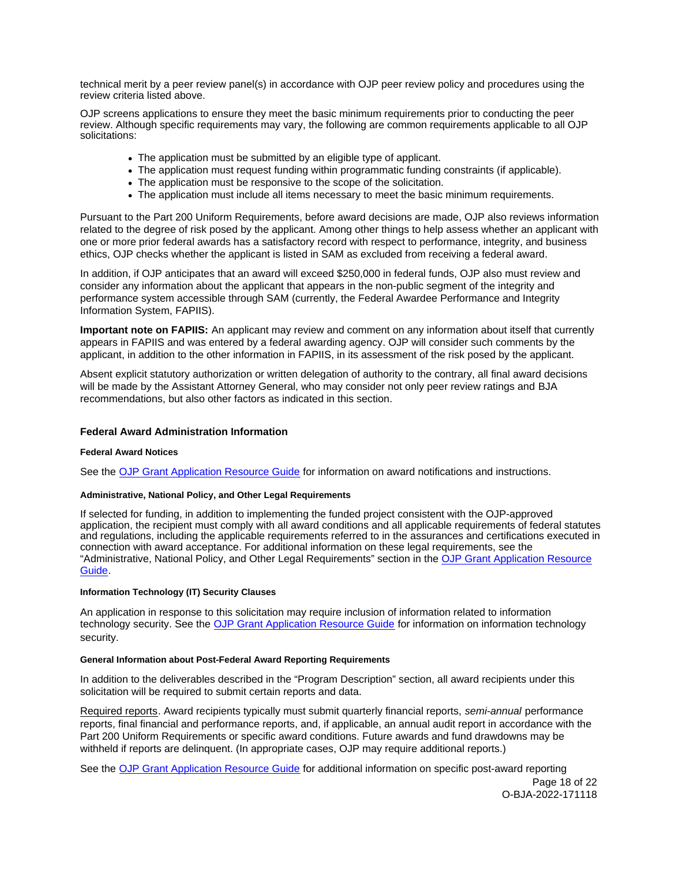<span id="page-17-0"></span>technical merit by a peer review panel(s) in accordance with OJP peer review policy and procedures using the review criteria listed above.

OJP screens applications to ensure they meet the basic minimum requirements prior to conducting the peer review. Although specific requirements may vary, the following are common requirements applicable to all OJP solicitations:

- The application must be submitted by an eligible type of applicant.
- The application must request funding within programmatic funding constraints (if applicable).
- The application must be responsive to the scope of the solicitation.
- The application must include all items necessary to meet the basic minimum requirements.

Pursuant to the Part 200 Uniform Requirements, before award decisions are made, OJP also reviews information related to the degree of risk posed by the applicant. Among other things to help assess whether an applicant with one or more prior federal awards has a satisfactory record with respect to performance, integrity, and business ethics, OJP checks whether the applicant is listed in SAM as excluded from receiving a federal award.

In addition, if OJP anticipates that an award will exceed \$250,000 in federal funds, OJP also must review and consider any information about the applicant that appears in the non-public segment of the integrity and performance system accessible through SAM (currently, the Federal Awardee Performance and Integrity Information System, FAPIIS).

**Important note on FAPIIS:** An applicant may review and comment on any information about itself that currently appears in FAPIIS and was entered by a federal awarding agency. OJP will consider such comments by the applicant, in addition to the other information in FAPIIS, in its assessment of the risk posed by the applicant.

Absent explicit statutory authorization or written delegation of authority to the contrary, all final award decisions will be made by the Assistant Attorney General, who may consider not only peer review ratings and BJA recommendations, but also other factors as indicated in this section.

## **Federal Award Administration Information**

#### **Federal Award Notices**

See the [OJP Grant Application Resource Guide](https://www.ojp.gov/funding/apply/ojp-grant-application-resource-guide#federal-award-notices) for information on award notifications and instructions.

## **Administrative, National Policy, and Other Legal Requirements**

If selected for funding, in addition to implementing the funded project consistent with the OJP-approved application, the recipient must comply with all award conditions and all applicable requirements of federal statutes and regulations, including the applicable requirements referred to in the assurances and certifications executed in connection with award acceptance. For additional information on these legal requirements, see the "Administrative, National Policy, and Other Legal Requirements" section in the [OJP Grant Application Resource](https://www.ojp.gov/funding/apply/ojp-grant-application-resource-guide#administrative)  [Guide.](https://www.ojp.gov/funding/apply/ojp-grant-application-resource-guide#administrative)

#### **Information Technology (IT) Security Clauses**

An application in response to this solicitation may require inclusion of information related to information technology security. See the [OJP Grant Application Resource Guide](https://www.ojp.gov/funding/apply/ojp-grant-application-resource-guide#information-technology) for information on information technology security.

#### **General Information about Post-Federal Award Reporting Requirements**

In addition to the deliverables described in the "Program Description" section, all award recipients under this solicitation will be required to submit certain reports and data.

Required reports. Award recipients typically must submit quarterly financial reports, semi-annual performance reports, final financial and performance reports, and, if applicable, an annual audit report in accordance with the Part 200 Uniform Requirements or specific award conditions. Future awards and fund drawdowns may be withheld if reports are delinquent. (In appropriate cases, OJP may require additional reports.)

See the [OJP Grant Application Resource Guide](https://www.ojp.gov/funding/apply/ojp-grant-application-resource-guide#general-information) for additional information on specific post-award reporting

Page 18 of 22 O-BJA-2022-171118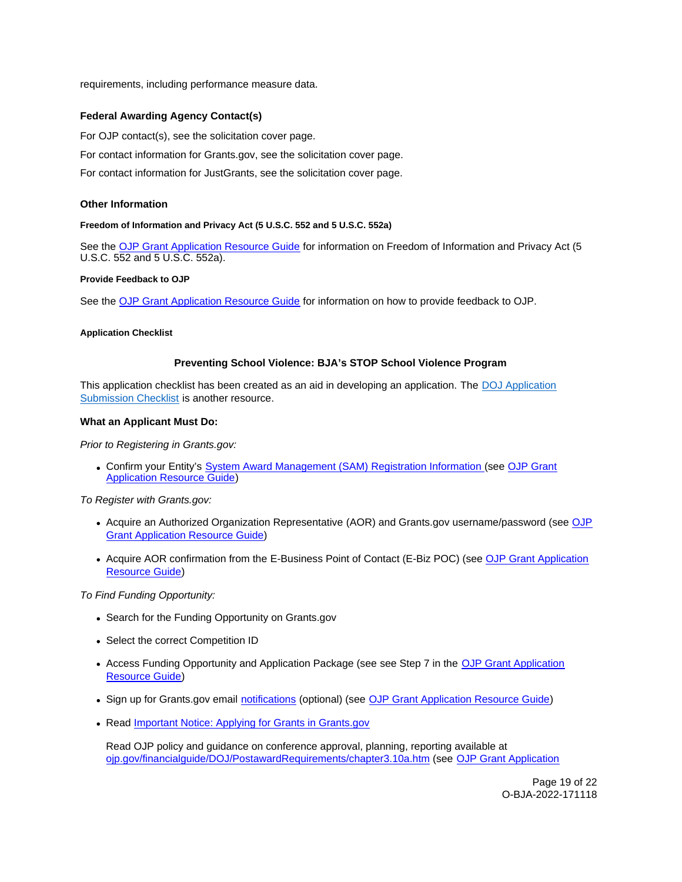<span id="page-18-0"></span>requirements, including performance measure data.

## **Federal Awarding Agency Contact(s)**

For OJP contact(s), see the solicitation cover page.

For contact information for [Grants.gov](https://Grants.gov), see the solicitation cover page.

For contact information for JustGrants, see the solicitation cover page.

## **Other Information**

#### **Freedom of Information and Privacy Act (5 U.S.C. 552 and 5 U.S.C. 552a)**

See the [OJP Grant Application Resource Guide](https://www.ojp.gov/funding/apply/ojp-grant-application-resource-guide#foia) for information on Freedom of Information and Privacy Act (5 U.S.C. 552 and 5 U.S.C. 552a).

#### **Provide Feedback to OJP**

See the [OJP Grant Application Resource Guide](https://www.ojp.gov/funding/apply/ojp-grant-application-resource-guide#feedback) for information on how to provide feedback to OJP.

#### **Application Checklist**

#### **Preventing School Violence: BJA's STOP School Violence Program**

This application checklist has been created as an aid in developing an application. The DOJ Application [Submission Checklist](https://justicegrants.usdoj.gov/sites/g/files/xyckuh296/files/media/document/appln-submission-checklist.pdf) is another resource.

#### **What an Applicant Must Do:**

Prior to Registering in [Grants.gov:](https://Grants.gov)

Confirm your Entity's [System Award Management \(SAM\)](https://sam.gov/SAM/) Registration Information (see [OJP Grant](https://www.ojp.gov/funding/apply/ojp-grant-application-resource-guide#apply)  **[Application Resource Guide\)](https://www.ojp.gov/funding/apply/ojp-grant-application-resource-guide#apply)** 

To Register with [Grants.gov:](https://Grants.gov)

- Acquire an Authorized Organization Representative (AOR) and [Grants.gov](https://Grants.gov) username/password (see OJP [Grant Application Resource Guide\)](https://www.ojp.gov/funding/apply/ojp-grant-application-resource-guide#apply)
- Acquire AOR confirmation from the E-Business Point of Contact (E-Biz POC) (see OJP Grant Application [Resource Guide\)](https://www.ojp.gov/funding/apply/ojp-grant-application-resource-guide#apply)

To Find Funding Opportunity:

- Search for the Funding Opportunity on [Grants.gov](https://Grants.gov)
- Select the correct Competition ID
- Access Funding Opportunity and Application Package (see see Step 7 in the [OJP Grant Application](https://www.ojp.gov/funding/apply/ojp-grant-application-resource-guide#apply)  [Resource Guide\)](https://www.ojp.gov/funding/apply/ojp-grant-application-resource-guide#apply)
- Sign up for [Grants.gov](https://Grants.gov) email [notifications](https://www.grants.gov/web/grants/manage-subscriptions.html) (optional) (see [OJP Grant Application Resource Guide\)](https://www.ojp.gov/funding/apply/ojp-grant-application-resource-guide#apply)
- Read Important Notice: Applying for Grants in Grants.gov

Read OJP policy and guidance on conference approval, planning, reporting available at [ojp.gov/financialguide/DOJ/PostawardRequirements/chapter3.10a.htm](https://ojp.gov/financialguide/DOJ/PostawardRequirements/chapter3.10a.htm) (see [OJP Grant Application](https://www.ojp.gov/funding/apply/ojp-grant-application-resource-guide#prior-approval) 

> Page 19 of 22 O-BJA-2022-171118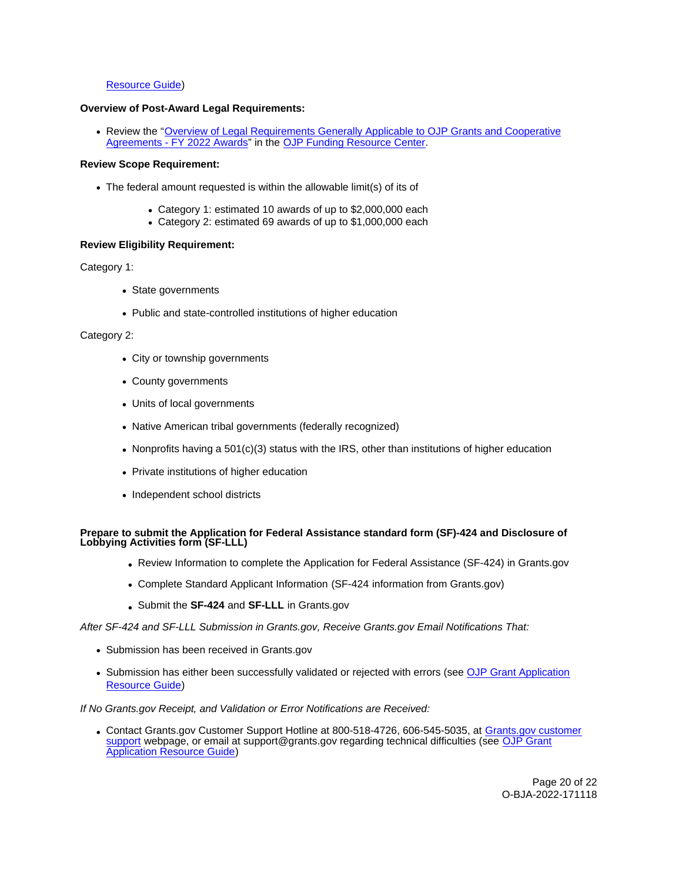## [Resource Guide\)](https://www.ojp.gov/funding/apply/ojp-grant-application-resource-guide#prior-approval)

#### **Overview of Post-Award Legal Requirements:**

• Review the "Overview of Legal Requirements Generally Applicable to OJP Grants and Cooperative [Agreements - FY 2022 Awards"](https://www.ojp.gov/funding/explore/legal-overview-awards) in the [OJP Funding Resource Center.](https://www.ojp.gov/funding/explore/legal-overview-awards)

#### **Review Scope Requirement:**

- The federal amount requested is within the allowable limit(s) of its of
	- Category 1: estimated 10 awards of up to \$2,000,000 each
	- Category 2: estimated 69 awards of up to \$1,000,000 each

## **Review Eligibility Requirement:**

## Category 1:

- State governments
- Public and state-controlled institutions of higher education

## Category 2:

- City or township governments
- County governments
- Units of local governments
- Native American tribal governments (federally recognized)
- Nonprofits having a  $501(c)(3)$  status with the IRS, other than institutions of higher education
- Private institutions of higher education
- Independent school districts

## **Prepare to submit the Application for Federal Assistance standard form (SF)-424 and Disclosure of Lobbying Activities form (SF-LLL)**

- Review Information to complete the Application for Federal Assistance (SF-424) in [Grants.gov](https://Grants.gov)
- Complete Standard Applicant Information (SF-424 information from [Grants.gov\)](https://Grants.gov)
- Submit the **SF-424** and **SF-LLL** in [Grants.gov](https://Grants.gov)

After SF-424 and SF-LLL Submission in [Grants.gov](https://Grants.gov), Receive [Grants.gov](https://Grants.gov) Email Notifications That:

- Submission has been received in [Grants.gov](https://Grants.gov)
- Submission has either been successfully validated or rejected with errors (see [OJP Grant Application](https://www.ojp.gov/funding/apply/ojp-grant-application-resource-guide#apply)  [Resource Guide\)](https://www.ojp.gov/funding/apply/ojp-grant-application-resource-guide#apply)

If No [Grants.gov](https://Grants.gov) Receipt, and Validation or Error Notifications are Received:

Contact [Grants.gov](https://Grants.gov) Customer Support Hotline at 800-518-4726, 606-545-5035, at [Grants.gov customer](https://www.grants.gov/web/grants/support.html)  [support](https://www.grants.gov/web/grants/support.html) webpage, or email at [support@grants.gov](mailto:support@grants.gov) regarding technical difficulties (see OJP Grant [Application Resource Guide\)](https://www.ojp.gov/funding/apply/ojp-grant-application-resource-guide#apply)

> Page 20 of 22 O-BJA-2022-171118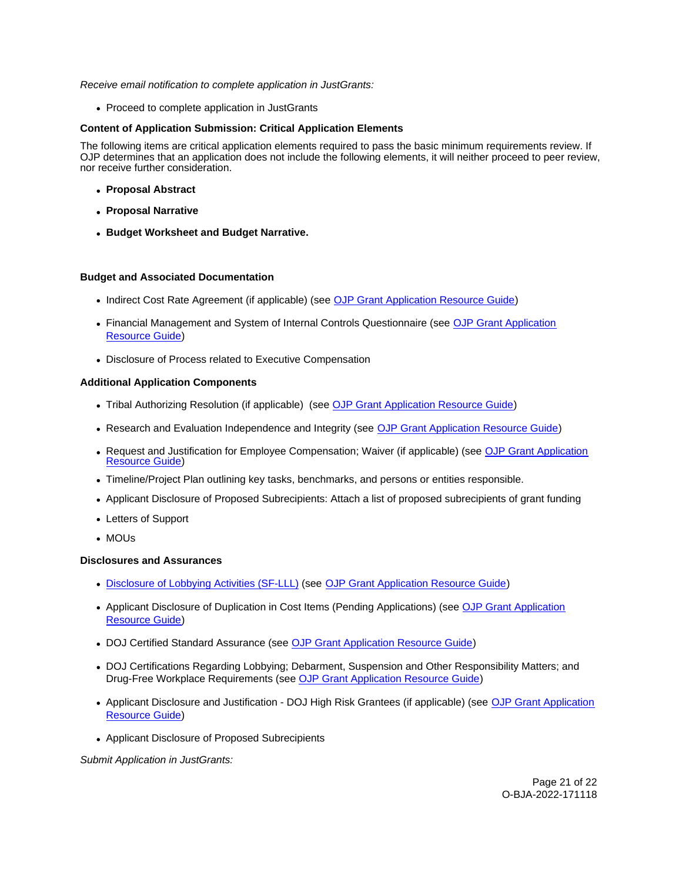## Receive email notification to complete application in JustGrants:

• Proceed to complete application in JustGrants

## **Content of Application Submission: Critical Application Elements**

The following items are critical application elements required to pass the basic minimum requirements review. If OJP determines that an application does not include the following elements, it will neither proceed to peer review, nor receive further consideration.

- **Proposal Abstract**
- **Proposal Narrative**
- **Budget Worksheet and Budget Narrative.**

#### **Budget and Associated Documentation**

- Indirect Cost Rate Agreement (if applicable) (see [OJP Grant Application Resource Guide\)](https://www.ojp.gov/funding/apply/ojp-grant-application-resource-guide#indirect-cost)
- Financial Management and System of Internal Controls Questionnaire (see [OJP Grant Application](https://www.ojp.gov/funding/apply/ojp-grant-application-resource-guide#fm-internal-controls-questionnaire)  [Resource Guide\)](https://www.ojp.gov/funding/apply/ojp-grant-application-resource-guide#fm-internal-controls-questionnaire)
- Disclosure of Process related to Executive Compensation

## **Additional Application Components**

- Tribal Authorizing Resolution (if applicable) (see [OJP Grant Application Resource Guide\)](https://www.ojp.gov/funding/apply/ojp-grant-application-resource-guide#tribal-authorizing-resolution)
- Research and Evaluation Independence and Integrity (see [OJP Grant Application Resource Guide\)](https://www.ojp.gov/funding/apply/ojp-grant-application-resource-guide#research-evaluation)
- Request and Justification for Employee Compensation; Waiver (if applicable) (see [OJP Grant Application](https://www.ojp.gov/funding/apply/ojp-grant-application-resource-guide#limitation-use-award)  [Resource Guide\)](https://www.ojp.gov/funding/apply/ojp-grant-application-resource-guide#limitation-use-award)
- Timeline/Project Plan outlining key tasks, benchmarks, and persons or entities responsible.
- Applicant Disclosure of Proposed Subrecipients: Attach a list of proposed subrecipients of grant funding
- Letters of Support
- MOUs

#### **Disclosures and Assurances**

- [Disclosure of Lobbying Activities \(SF-LLL\)](https://ojp.gov/funding/Apply/Resources/Disclosure.pdf) (see [OJP Grant Application Resource Guide\)](https://www.ojp.gov/funding/apply/ojp-grant-application-resource-guide#apply)
- Applicant Disclosure of Duplication in Cost Items (Pending Applications) (see OJP Grant Application [Resource Guide\)](https://www.ojp.gov/funding/apply/ojp-grant-application-resource-guide#applicant-disclosure-pending-applications)
- DOJ Certified Standard Assurance (see [OJP Grant Application Resource Guide\)](https://www.ojp.gov/funding/apply/ojp-grant-application-resource-guide#administrative)
- DOJ Certifications Regarding Lobbying; Debarment, Suspension and Other Responsibility Matters; and Drug-Free Workplace Requirements (see [OJP Grant Application Resource Guide\)](https://www.ojp.gov/funding/apply/ojp-grant-application-resource-guide#administrative)
- Applicant Disclosure and Justification DOJ High Risk Grantees (if applicable) (see [OJP Grant Application](https://www.ojp.gov/funding/apply/ojp-grant-application-resource-guide#applicant-disclosure-justification)  [Resource Guide\)](https://www.ojp.gov/funding/apply/ojp-grant-application-resource-guide#applicant-disclosure-justification)
- Applicant Disclosure of Proposed Subrecipients

Submit Application in JustGrants: